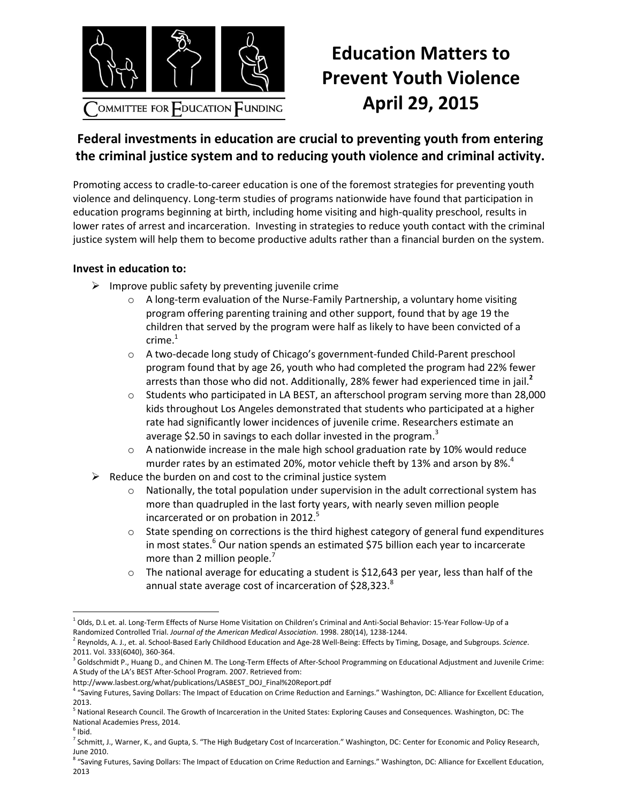

## **Education Matters to Prevent Youth Violence April 29, 2015**

## **Federal investments in education are crucial to preventing youth from entering the criminal justice system and to reducing youth violence and criminal activity.**

Promoting access to cradle-to-career education is one of the foremost strategies for preventing youth violence and delinquency. Long-term studies of programs nationwide have found that participation in education programs beginning at birth, including home visiting and high-quality preschool, results in lower rates of arrest and incarceration. Investing in strategies to reduce youth contact with the criminal justice system will help them to become productive adults rather than a financial burden on the system.

## **Invest in education to:**

- $\triangleright$  Improve public safety by preventing juvenile crime
	- $\circ$  A long-term evaluation of the Nurse-Family Partnership, a voluntary home visiting program offering parenting training and other support, found that by age 19 the children that served by the program were half as likely to have been convicted of a  $c$ rime. $1$
	- o A two-decade long study of Chicago's government-funded Child-Parent preschool program found that by age 26, youth who had completed the program had 22% fewer arrests than those who did not. Additionally, 28% fewer had experienced time in jail.**<sup>2</sup>**
	- o Students who participated in LA BEST, an afterschool program serving more than 28,000 kids throughout Los Angeles demonstrated that students who participated at a higher rate had significantly lower incidences of juvenile crime. Researchers estimate an average \$2.50 in savings to each dollar invested in the program.<sup>3</sup>
	- $\circ$  A nationwide increase in the male high school graduation rate by 10% would reduce murder rates by an estimated 20%, motor vehicle theft by 13% and arson by 8%.<sup>4</sup>
- $\triangleright$  Reduce the burden on and cost to the criminal justice system
	- $\circ$  Nationally, the total population under supervision in the adult correctional system has more than quadrupled in the last forty years, with nearly seven million people incarcerated or on probation in 2012.<sup>5</sup>
	- $\circ$  State spending on corrections is the third highest category of general fund expenditures in most states.<sup>6</sup> Our nation spends an estimated \$75 billion each year to incarcerate more than 2 million people.<sup>7</sup>
	- o The national average for educating a student is \$12,643 per year, less than half of the annual state average cost of incarceration of \$28,323.8

 $\overline{\phantom{a}}$  $1$  Olds. D.L et. al. Long-Term Effects of Nurse Home Visitation on Children's Criminal and Anti-Social Behavior: 15-Year Follow-Up of a Randomized Controlled Trial. *Journal of the American Medical Association*. 1998. 280(14), 1238-1244.

<sup>2</sup> Reynolds, A. J., et. al. School-Based Early Childhood Education and Age-28 Well-Being: Effects by Timing, Dosage, and Subgroups. *Science*. 2011. Vol. 333(6040), 360-364.

<sup>&</sup>lt;sup>3</sup> Goldschmidt P., Huang D., and Chinen M. The Long-Term Effects of After-School Programming on Educational Adjustment and Juvenile Crime: A Study of the LA's BEST After-School Program. 2007. Retrieved from:

http://www.lasbest.org/what/publications/LASBEST\_DOJ\_Final%20Report.pdf

<sup>&</sup>lt;sup>4</sup> "Saving Futures, Saving Dollars: The Impact of Education on Crime Reduction and Earnings." Washington, DC: Alliance for Excellent Education, 2013.

<sup>&</sup>lt;sup>5</sup> National Research Council. The Growth of Incarceration in the United States: Exploring Causes and Consequences. Washington, DC: The National Academies Press, 2014.

 $<sup>6</sup>$  Ibid.</sup>

<sup>&</sup>lt;sup>7</sup> Schmitt, J., Warner, K., and Gupta, S. "The High Budgetary Cost of Incarceration." Washington, DC: Center for Economic and Policy Research, June 2010.

<sup>&</sup>lt;sup>8</sup> "Saving Futures, Saving Dollars: The Impact of Education on Crime Reduction and Earnings." Washington, DC: Alliance for Excellent Education, 2013